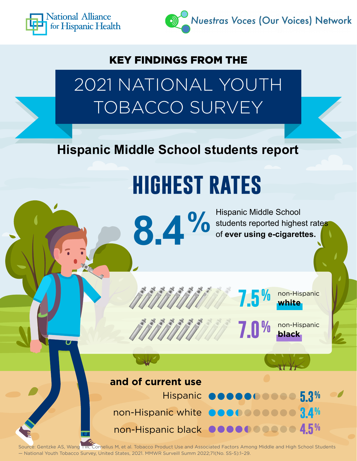



#### KEY FINDINGS FROM THE

2021 NATIONAL YOUTH TOBACCO SURVEY

**Hispanic Middle School students report**

**8.4 %**

# **highest rates**

Hispanic Middle School students reported highest rates of **ever using e-cigarettes.**



non-Hispanic **7.0% black**

**and of current use** 

Hispanic **OOOOOOOOO 5.3%** non-Hispanic white **3.4%** .......... non-Hispanic black **4.5%**

Source: Gentzke AS, Wang TW, Cornelius M, et al. Tobacco Product Use and Associated Factors Among Middle and High School Students — National Youth Tobacco Survey, United States, 2021. MMWR Surveill Summ 2022;71(No. SS-5):1–29.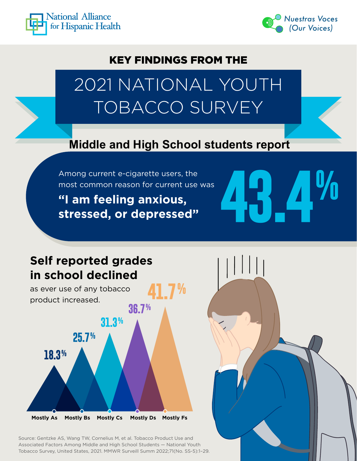



#### KEY FINDINGS FROM THE

### 2021 NATIONAL YOUTH TOBACCO SURVEY

#### **Middle and High School students report**

**41.7%**

most common reason for current use was

Among current e-cigarette users, the<br>most common reason for current use was<br>**43.4 Million of the series of the series of the series of the series of the series of the series of the series<br>stressed, or depressed" "I am feeling anxious, stressed, or depressed"** 

#### **Self reported grades in school declined**

as ever use of any tobacco product increased.



Source: Gentzke AS, Wang TW, Cornelius M, et al. Tobacco Product Use and Associated Factors Among Middle and High School Students — National Youth Tobacco Survey, United States, 2021. MMWR Surveill Summ 2022;71(No. SS-5):1–29.